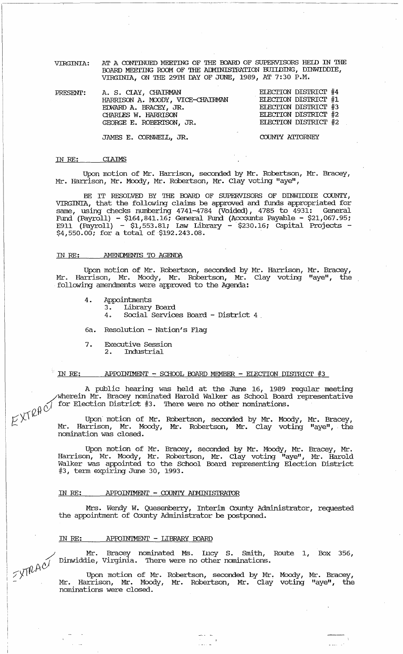VIRGINIA: AT A CONTINUED MEETING OF THE BOARD OF SUPERVISORS HELD IN THE IDARD MEEI'ING ROOM OF THE AIMINISTRATION BUILDING, DThlWIDDIE, VIRGINIA, ON THE 29'IH DAY OF JUNE, 1989, AT 7:30 P.M.

--------~------------ -------.---------------.- ---- -------------------

| PRESENT: | A. S. CIAY, CHAIRMAN             | ELECTION DISTRICT #4 |
|----------|----------------------------------|----------------------|
|          | HARRISON A. MOODY, VICE-CHAIRMAN | ELECTION DISTRICT #1 |
|          | EDWARD A. BRACEY, JR.            | ELECTION DISTRICT #3 |
|          | CHARLES W. HARRISON              | ELECTION DISTRICT #2 |
|          | GEORGE E. ROBERISON, JR.         | ELECTION DISTRICT #2 |
|          |                                  |                      |

JAMES E. CDRNWELL, JR.

COUNTY ATIDRNEY

### IN RE: CIAIMS

 $\nabla\chi(\mathcal{C}^{\mu})$ 

Upon motion of Mr. Harrison, seconded by Mr. Robertson, Mr. Bracey, Mr. Harrison, Mr. Moody, Mr. Robertson, Mr. Clay voting "aye",

BE IT RESOLVED BY THE BOARD OF SUPERVISORS OF DINWIDDIE COUNTY, VIRGINIA, that the following claims be approved and funds appropriated for same, using checks numbering 4741-4784 (Voided), 4785 to 4931: General Fund (Payroll) - \$164,841.16; General Fund (Accounts Payable - \$21,067.95; E911 (Payroll) - \$1,553.81; law Library - \$230.16; capital Projects - \$4,550.00; for a total of \$192.243.08.

# IN RE: AMENDMENTS TO AGENDA

Upon motion of Mr. Robertson, seconded by Mr. Harrison, Mr. Bracey, Mr. Harrison, Mr. Moody, Mr. Robertson, Mr. Clay voting "aye", the following amendments were approved to the Agenda:

4. Appointments<br>3. Library

- 3. Library Board<br>4. Social Service
	- Social Services Board District 4
- 6a. Resolution Nation's Flag
- 7. Executive Session 2. Industrial

# $\frac{1}{2}$  IN RE: APPOINTMENT - SCHOOL BOARD MEMBER - ELECTION DISTRICT #3

A public hearing was held at the June 16, 1989 regular meeting /,wherein Mr. Bracey nominated Harold Walker as School Board representative  $\sqrt{ }$  for Election District #3. There were no other nominations.

Upon motion of Mr. Robertson, seconded by Mr. Moody, Mr. Bracey, Mr. Harrison, Mr. Moody, Mr. Robertson, Mr. Clay voting "aye", the nomination was closed.

Upon motion of Mr. Bracey, seconded by Mr. Moody, Mr. Bracey, Mr. Harrison, Mr. Moody, Mr. Robertson, Mr. Clay voting "aye", Mr. Harold Walker was appointed to the School Board representing Election District #3, tenn expiring June 30, 1993.

# IN RE: APPOINTMENT - COUNTY ADMINISTRATOR

Mrs. Wendy W. Quesenberry, Interim County Administrator, requested the appointment of County Administrator be postponed.

# IN RE: APFOIN'IMENT - LIBRARY BOARD

/ Mr. Bracey nominated Ms. lucy s. Smith, Route 1, Box 356,  $\ \gamma$  Dinwiddie, Virginia. There were no other nominations.

a das cont

 $\sqrt{\frac{1}{N}}$   $\frac{\partial}{\partial x}$  is the motion of Mr. Robertson, seconded by Mr. Moody, Mr. Bracey, Upon motion of Mr. Robertson, seconded by Mr. Moody, Mr. Bracey, Mr. Harrison, Mr. Moody, Mr. Robertson, Mr. Clay voting "aye", the nominations were closed.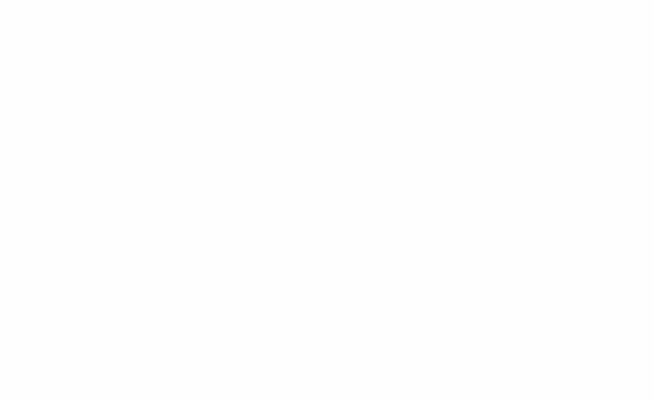$\label{eq:2.1} \frac{1}{\sqrt{2}}\int_{\mathbb{R}^3}\frac{1}{\sqrt{2}}\left(\frac{1}{\sqrt{2}}\right)^2\frac{1}{\sqrt{2}}\left(\frac{1}{\sqrt{2}}\right)^2\frac{1}{\sqrt{2}}\left(\frac{1}{\sqrt{2}}\right)^2\frac{1}{\sqrt{2}}\left(\frac{1}{\sqrt{2}}\right)^2\frac{1}{\sqrt{2}}\left(\frac{1}{\sqrt{2}}\right)^2\frac{1}{\sqrt{2}}\frac{1}{\sqrt{2}}\frac{1}{\sqrt{2}}\frac{1}{\sqrt{2}}\frac{1}{\sqrt{2}}\frac{1}{\sqrt{2}}$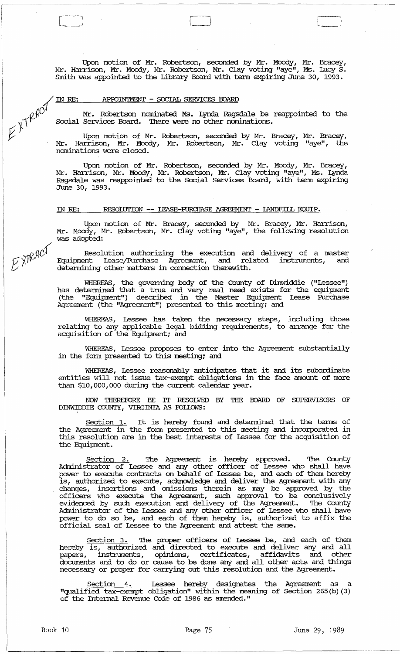Upon motion of Mr. Robertson, seconded by Mr. Moody, Mr. Bracey, Mr. Harrison, Mr. Moody, Mr. Robertson, Mr. Clay voting "aye", Ms. Illcy S. Smith was appointed to the Library Board with tenn expiring June 30, 1993.

c-j ~ c=J

IN RE: APPOINTMENT - SOCIAL SERVICES BOARD<br>
Mr. Robertson nominated Ms. Inna-<br>  $\chi^2$ Mr. Robertson nominated Ms. Lynda Ragsdale be reappointed to the .<br>Social services Board. There were no other nominations.

 $\frac{1}{2}$  Upon motion of Mr. Robertson, seconded by Mr. Bracey, Mr. Bracey, Mr. Harrison, Mr. Moody, Mr. Robertson, Mr. Clay voting "aye", the nominations were closed.

> Upon motion of Mr. Robertson, seconded by Mr. Moody, Mr. Bracey, Mr. Harrison, Mr. Moody, Mr. Robertson, Mr. Clay voting "aye", Ms. Lynda Ragsdale was reappointed to the Social services Board, with tenn expiring June 30, 1993.

# IN *RE:* RESoliJTION -- LEASE-IURCHASE AGREEMENT - lANDFILL EQUIP.

/' Upon motion of Mr. Bracey, seconqed by Mr. Bracey, Mr. Harrison, Mr. Moody, Mr. Robertson, Mr. Clay voting "aye", the following resolution was adopted:

Resolution authorizing the execution and delivery of a master Equipment Lease/Purchase Agreement, and related instruments, and detennining other matters in connection therewith.

WHEREAS, the governing body of the County of Dinwiddie ("Lessee") has determined that a true and very real need exists for the equipment (the "Equipment") described in the Master Equipment Lease Purchase Agreement (the "Agreement") presented to this meeting; and

WHEREAS, Lessee has taken the necessary steps, including those relating to any applicable legal bidding requirements, to arrange for the acquisition of the Equipment; and

WHEREAS, Lessee proposes to enter into the Agreement substantially in the form presented to this meeting; and

WHEREAS, Lessee reasonably anticipates that it and its subordinate entities will not issue tax-exempt obligations in the face amount of more than \$10,000,000 during the current calendar year.

NOW THEREFORE BE IT RESOLVED BY THE OOARD OF SUPERVISORS OF DINWIDDIE COUNTY, VIRGINIA AS FOllOWS:

Section 1. It is hereby found and determined that the terms of the Agreement in the form presented to this meeting and incorporated in this resolution are in the best interests of Lessee for the acquisition of the Equipment.

Section 2. The Agreement is hereby approved. The County Administrator of Lessee and any other officer of Lessee who shall have power to execute contracts on behalf of Lessee be, and each of them hereby is, authorized to execute, acknowledge and deliver the Agreement with any changes, insertions and omissions therein as may be approved by the officers who execute the Agreement, such approval to be conclusively evidenced by such execution and delivery of the Agreement. The County Administrator of the Lessee and any other officer of Lessee who shall have power to do so be, and each of them hereby is, authorized to affix the official seal of Lessee to the Agreement and attest the same.

Section 3. The proper officers of Lessee be, and each of them hereby is, authorized and directed to execute and deliver any and all papers, instruments, opinions, certificates, affidavits and other documents and to do or cause to be done any and all other acts and things necessary or proper for carrying out this resolution and the Agreement.

Section 4. Lessee hereby designates the Agreement as a "qualified tax-exempt obligation" within the meaning of Section 265(b) (3) of the Internal Revenue Code of 1986 as amended."

 $L$ *XIISHL*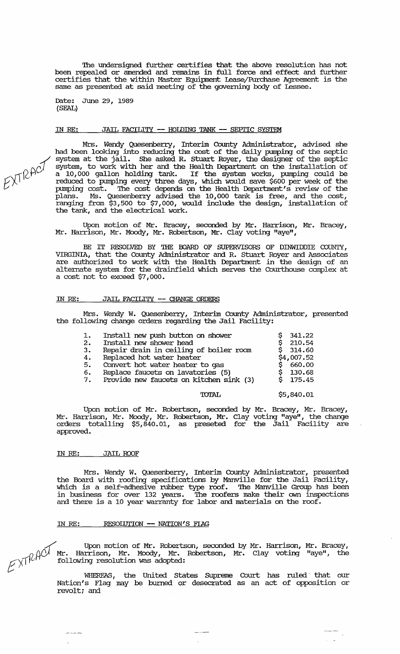The undersigned further certifies that the above resolution has not been repealed or amended and remains in full force and effect and further certifies that the within Master Equipment Lease/Purchase Agreement is the same as presented at said meeting of the governing body of lessee.

Date: June 29, 1989 (SEAL)

# IN *RE:* JAIL FACILITY **--** HOIDING TANK - SEPl'IC SYSTEM

Mrs. Wendy Quesenberry, Interim County Administrator, advised she had been looking into reducing the cost of the daily pumping of the septic system at the jail. She asked R. Stuart Royer, the designer of the septic system, to work with her and the Health Department on the installation of a 10,000 gallon holding tank. If the system works, pumping could be reduced to pumping every three days, which would save \$600 per week of the pumping cost. '!he cost depends on the Health Department's review of the plans. Ms. Quesenberry advised the 10,000 tank is free, and the cost, ranging from \$3,500 to \$7,000, would include the design, installation of the tank, and the electrical work.

Upon motion of Mr. Bracey, seconded by Mr. Harrison, Mr. Bracey, Mr. Harrison, Mr. Moody, Mr. Robertson, Mr. Clay voting "aye",

BE IT RESOLVED BY THE BOARD OF SUPERVISORS OF DINWIDDIE COUNTY, VIRGINIA, that the County Administrator and R. stuart Royer and Associates are authorized to work with the Health Department in the design of an alternate system for the drainfield which serves the Courthouse complex at a cost not to exceed \$7,000.

# IN *RE:* JAIL FACILITY **--** CHANGE ORDERS

Mrs. Wendy W. Quesenberry, Interim County Administrator, presented the following change orders regarding the Jail Facility:

| 1.               | Install new push button on shower       | 341.22     |
|------------------|-----------------------------------------|------------|
| $\overline{2}$ . | Install new shower head                 | 210.54     |
| 3.               | Repair drain in ceiling of boiler room  | \$314.60   |
| 4.               | Replaced hot water heater               | \$4,007.52 |
| 5.               | Convert hot water heater to gas         | 660.00     |
| 6.               | Replace faucets on lavatories (5)       | 130.68     |
| 7.               | Provide new faucets on kitchen sink (3) | \$175.45   |
|                  | TOTAL                                   | \$5,840.01 |

Upon motion of Mr. Robertson, seconded by Mr. Bracey, Mr. Bracey, Mr. Harrison, Mr. Moody, Mr. Robertson, Mr. Clay voting "aye", the change orders totalling \$5,840.01, as preseted for the Jail Facility are approved.

### IN RE: **JAIL ROOF**

Mrs. Wendy W. Quesenbeny, Interim County Administrator, presented the Board with roofing specifications by Manville for the Jail Facility, which is a self-adhesive rubber type roof. The Manville Group has been in business for over 132 years. '!he roofers make their own inspections and there is a 10 year warranty for labor and materials on the roof.

# IN *RE:* RESOIIJTION **--** NATION'S FIAG

Upon motion of Mr. Robertson, seconded by Mr. Harrison, Mr. Bracey,  $n\infty$  Mr. Harrison, Mr. Moody, Mr. Robertson, Mr. Clay voting "aye", the following resolution was adopted:

> WHEREAS, the United states Supreme Court has ruled' that our Nation's Flag may be burned or desecrated as an act of opposition or revolt; and

EXTRACT